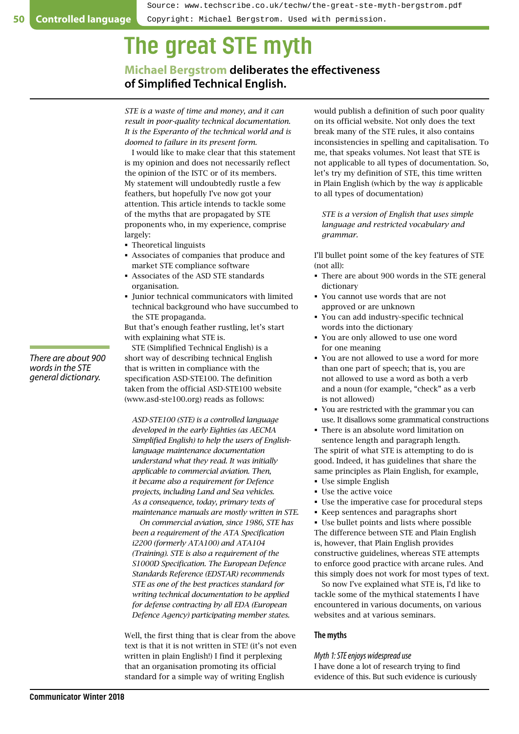# The great STE myth

**Michael Bergstrom deliberates the effectiveness of Simplified Technical English.**

*STE is a waste of time and money, and it can result in poor-quality technical documentation. It is the Esperanto of the technical world and is doomed to failure in its present form.*

I would like to make clear that this statement is my opinion and does not necessarily reflect the opinion of the ISTC or of its members. My statement will undoubtedly rustle a few feathers, but hopefully I've now got your attention. This article intends to tackle some of the myths that are propagated by STE proponents who, in my experience, comprise largely:

- Theoretical linguists
- Associates of companies that produce and market STE compliance software
- Associates of the ASD STE standards organisation.
- Junior technical communicators with limited technical background who have succumbed to the STE propaganda.

But that's enough feather rustling, let's start with explaining what STE is.

STE (Simplified Technical English) is a short way of describing technical English that is written in compliance with the specification ASD-STE100. The definition taken from the official ASD-STE100 website ([www.asd-ste100.org\)](http://www.asd-ste100.org) reads as follows:

*ASD-STE100 (STE) is a controlled language developed in the early Eighties (as AECMA Simplified English) to help the users of Englishlanguage maintenance documentation understand what they read. It was initially applicable to commercial aviation. Then, it became also a requirement for Defence projects, including Land and Sea vehicles. As a consequence, today, primary texts of maintenance manuals are mostly written in STE.*

*On commercial aviation, since 1986, STE has been a requirement of the ATA Specification i2200 (formerly ATA100) and ATA104 (Training). STE is also a requirement of the S1000D Specification. The European Defence Standards Reference (EDSTAR) recommends STE as one of the best practices standard for writing technical documentation to be applied for defense contracting by all EDA (European Defence Agency) participating member states.*

Well, the first thing that is clear from the above text is that it is not written in STE! (it's not even written in plain English!) I find it perplexing that an organisation promoting its official standard for a simple way of writing English

would publish a definition of such poor quality on its official website. Not only does the text break many of the STE rules, it also contains inconsistencies in spelling and capitalisation. To me, that speaks volumes. Not least that STE is not applicable to all types of documentation. So, let's try my definition of STE, this time written in Plain English (which by the way *is* applicable to all types of documentation)

*STE is a version of English that uses simple language and restricted vocabulary and grammar.*

I'll bullet point some of the key features of STE (not all):

- There are about 900 words in the STE general dictionary
- You cannot use words that are not approved or are unknown
- You can add industry-specific technical words into the dictionary
- You are only allowed to use one word for one meaning
- You are not allowed to use a word for more than one part of speech; that is, you are not allowed to use a word as both a verb and a noun (for example, "check" as a verb is not allowed)
- You are restricted with the grammar you can use. It disallows some grammatical constructions
- There is an absolute word limitation on sentence length and paragraph length. The spirit of what STE is attempting to do is good. Indeed, it has guidelines that share the same principles as Plain English, for example,
- Use simple English
- Use the active voice
- Use the imperative case for procedural steps
- Keep sentences and paragraphs short

 Use bullet points and lists where possible The difference between STE and Plain English is, however, that Plain English provides constructive guidelines, whereas STE attempts to enforce good practice with arcane rules. And this simply does not work for most types of text.

So now I've explained what STE is, I'd like to tackle some of the mythical statements I have encountered in various documents, on various websites and at various seminars.

# **The myths**

*Myth 1: STE enjoys widespread use*

I have done a lot of research trying to find evidence of this. But such evidence is curiously

*There are about 900 words in the STE general dictionary.*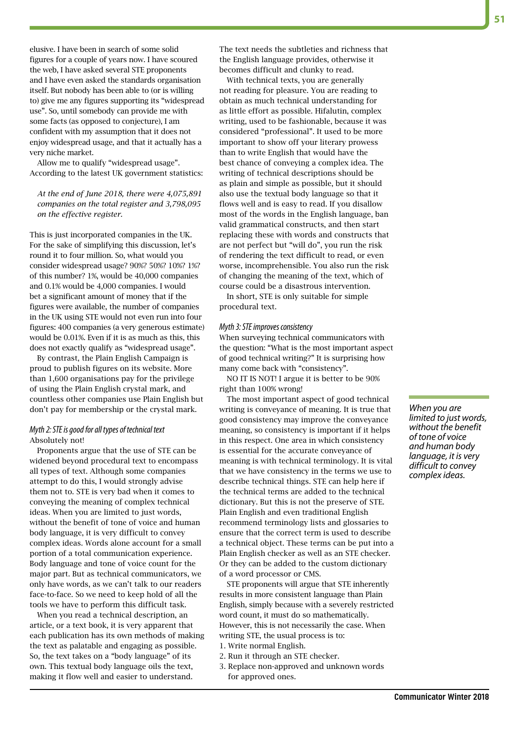elusive. I have been in search of some solid figures for a couple of years now. I have scoured the web, I have asked several STE proponents and I have even asked the standards organisation itself. But nobody has been able to (or is willing to) give me any figures supporting its "widespread use". So, until somebody can provide me with some facts (as opposed to conjecture), I am confident with my assumption that it does not enjoy widespread usage, and that it actually has a very niche market.

Allow me to qualify "widespread usage". According to the latest UK government statistics:

*At the end of June 2018, there were 4,075,891 companies on the total register and 3,798,095 on the effective register.* 

This is just incorporated companies in the UK. For the sake of simplifying this discussion, let's round it to four million. So, what would you consider widespread usage? 90%? 50%? 10%? 1%? of this number? 1%, would be 40,000 companies and 0.1% would be 4,000 companies. I would bet a significant amount of money that if the figures were available, the number of companies in the UK using STE would not even run into four figures: 400 companies (a very generous estimate) would be 0.01%. Even if it is as much as this, this does not exactly qualify as "widespread usage".

By contrast, the Plain English Campaign is proud to publish figures on its website. More than 1,600 organisations pay for the privilege of using the Plain English crystal mark, and countless other companies use Plain English but don't pay for membership or the crystal mark.

# *Myth 2: STE is good for all types of technical text* Absolutely not!

Proponents argue that the use of STE can be widened beyond procedural text to encompass all types of text. Although some companies attempt to do this, I would strongly advise them not to. STE is very bad when it comes to conveying the meaning of complex technical ideas. When you are limited to just words, without the benefit of tone of voice and human body language, it is very difficult to convey complex ideas. Words alone account for a small portion of a total communication experience. Body language and tone of voice count for the major part. But as technical communicators, we only have words, as we can't talk to our readers face-to-face. So we need to keep hold of all the tools we have to perform this difficult task.

When you read a technical description, an article, or a text book, it is very apparent that each publication has its own methods of making the text as palatable and engaging as possible. So, the text takes on a "body language" of its own. This textual body language oils the text, making it flow well and easier to understand.

The text needs the subtleties and richness that the English language provides, otherwise it becomes difficult and clunky to read.

With technical texts, you are generally not reading for pleasure. You are reading to obtain as much technical understanding for as little effort as possible. Hifalutin, complex writing, used to be fashionable, because it was considered "professional". It used to be more important to show off your literary prowess than to write English that would have the best chance of conveying a complex idea. The writing of technical descriptions should be as plain and simple as possible, but it should also use the textual body language so that it flows well and is easy to read. If you disallow most of the words in the English language, ban valid grammatical constructs, and then start replacing these with words and constructs that are not perfect but "will do", you run the risk of rendering the text difficult to read, or even worse, incomprehensible. You also run the risk of changing the meaning of the text, which of course could be a disastrous intervention.

In short, STE is only suitable for simple procedural text.

#### *Myth 3: STE improves consistency*

When surveying technical communicators with the question: "What is the most important aspect of good technical writing?" It is surprising how many come back with "consistency".

NO IT IS NOT! I argue it is better to be 90% right than 100% wrong!

The most important aspect of good technical writing is conveyance of meaning. It is true that good consistency may improve the conveyance meaning, so consistency is important if it helps in this respect. One area in which consistency is essential for the accurate conveyance of meaning is with technical terminology. It is vital that we have consistency in the terms we use to describe technical things. STE can help here if the technical terms are added to the technical dictionary. But this is not the preserve of STE. Plain English and even traditional English recommend terminology lists and glossaries to ensure that the correct term is used to describe a technical object. These terms can be put into a Plain English checker as well as an STE checker. Or they can be added to the custom dictionary of a word processor or CMS.

STE proponents will argue that STE inherently results in more consistent language than Plain English, simply because with a severely restricted word count, it must do so mathematically. However, this is not necessarily the case. When writing STE, the usual process is to:

- 1. Write normal English.
- 2. Run it through an STE checker.
- 3. Replace non-approved and unknown words for approved ones.

*When you are limited to just words, without the benefit of tone of voice and human body language, it is very difficult to convey complex ideas.*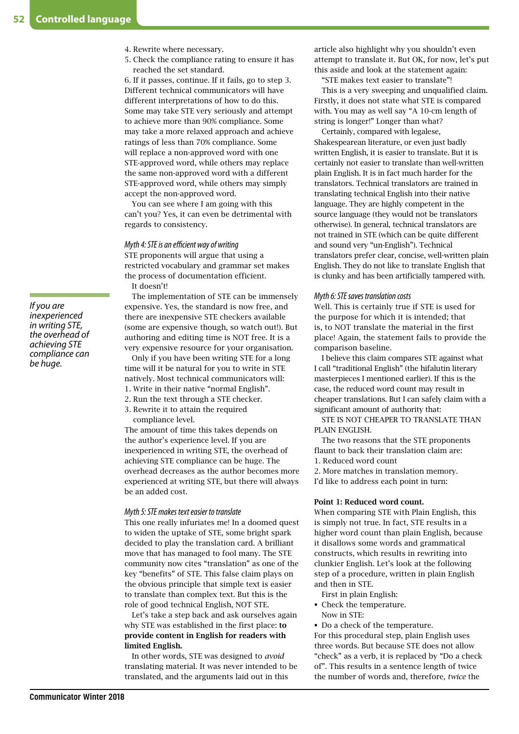- 4. Rewrite where necessary.
- 5. Check the compliance rating to ensure it has reached the set standard.

6. If it passes, continue. If it fails, go to step 3. Different technical communicators will have different interpretations of how to do this. Some may take STE very seriously and attempt to achieve more than 90% compliance. Some may take a more relaxed approach and achieve ratings of less than 70% compliance. Some will replace a non-approved word with one STE-approved word, while others may replace the same non-approved word with a different STE-approved word, while others may simply accept the non-approved word.

You can see where I am going with this can't you? Yes, it can even be detrimental with regards to consistency.

#### *Myth 4: STE is an efficient way of writing*

STE proponents will argue that using a restricted vocabulary and grammar set makes the process of documentation efficient.

It doesn't!

The implementation of STE can be immensely expensive. Yes, the standard is now free, and there are inexpensive STE checkers available (some are expensive though, so watch out!). But authoring and editing time is NOT free. It is a very expensive resource for your organisation.

Only if you have been writing STE for a long time will it be natural for you to write in STE natively. Most technical communicators will:

- 1. Write in their native "normal English".
- 2. Run the text through a STE checker.
- 3. Rewrite it to attain the required compliance level.

The amount of time this takes depends on the author's experience level. If you are inexperienced in writing STE, the overhead of achieving STE compliance can be huge. The overhead decreases as the author becomes more experienced at writing STE, but there will always be an added cost.

#### *Myth 5: STE makes text easier to translate*

This one really infuriates me! In a doomed quest to widen the uptake of STE, some bright spark decided to play the translation card. A brilliant move that has managed to fool many. The STE community now cites "translation" as one of the key "benefits" of STE. This false claim plays on the obvious principle that simple text is easier to translate than complex text. But this is the role of good technical English, NOT STE.

Let's take a step back and ask ourselves again why STE was established in the first place: to provide content in English for readers with limited English.

In other words, STE was designed to *avoid* translating material. It was never intended to be translated, and the arguments laid out in this

article also highlight why you shouldn't even attempt to translate it. But OK, for now, let's put this aside and look at the statement again:

"STE makes text easier to translate"!

This is a very sweeping and unqualified claim. Firstly, it does not state what STE is compared with. You may as well say "A 10-cm length of string is longer!" Longer than what?

Certainly, compared with legalese, Shakespearean literature, or even just badly written English, it is easier to translate. But it is certainly not easier to translate than well-written plain English. It is in fact much harder for the translators. Technical translators are trained in translating technical English into their native language. They are highly competent in the source language (they would not be translators otherwise). In general, technical translators are not trained in STE (which can be quite different and sound very "un-English"). Technical translators prefer clear, concise, well-written plain English. They do not like to translate English that is clunky and has been artificially tampered with.

#### *Myth 6: STE saves translation costs*

Well. This is certainly true if STE is used for the purpose for which it is intended; that is, to NOT translate the material in the first place! Again, the statement fails to provide the comparison baseline.

I believe this claim compares STE against what I call "traditional English" (the hifalutin literary masterpieces I mentioned earlier). If this is the case, the reduced word count may result in cheaper translations. But I can safely claim with a significant amount of authority that:

STE IS NOT CHEAPER TO TRANSLATE THAN PLAIN ENGLISH.

The two reasons that the STE proponents flaunt to back their translation claim are: 1. Reduced word count

2. More matches in translation memory. I'd like to address each point in turn:

#### Point 1: Reduced word count.

When comparing STE with Plain English, this is simply not true. In fact, STE results in a higher word count than plain English, because it disallows some words and grammatical constructs, which results in rewriting into clunkier English. Let's look at the following step of a procedure, written in plain English and then in STE.

First in plain English:

 Check the temperature. Now in STE:

Do a check of the temperature.

For this procedural step, plain English uses three words. But because STE does not allow "check" as a verb, it is replaced by "Do a check of". This results in a sentence length of twice the number of words and, therefore, *twice* the

*If you are inexperienced in writing STE, the overhead of achieving STE compliance can be huge.*